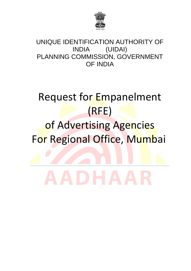

### UNIQUE IDENTIFICATION AUTHORITY OF INDIA (UIDAI) PLANNING COMMISSION, GOVERNMENT OF INDIA

# Request for Empanelment (RFE)

## of Advertising Agencies For Regional Office, Mumbai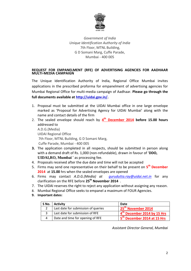

*Government of India Unique Identification Authority of India* 7th Floor, MTNL Building, G D Somani Marg, Cuffe Parade, Mumbai - 400 005

#### **REQUEST FOR EMPANELMENT (RFE) OF ADVERTISING AGENCIES FOR AADHAAR MULTI-MEDIA CAMPAIGN**

The Unique Identification Authority of India, Regional Office Mumbai invites applications in the prescribed proforma for empanelment of advertising agencies for Mumbai Regional Office for multi-media campaign of Aadhaar. **Please go through the full documents available at [http://uidai.gov.in/.](http://uidai.gov.in/)**

- 1. Proposal must be submitted at the UIDAI Mumbai office in one large envelope marked as 'Proposal for Advertising Agency for UIDAI Mumbai' along with the name and contact details of the firm
- 2. The sealed envelope should reach by  $4^{\text{th}}$  **December 2014** before 15.00 hours addressed to A.D.G.(Media) UIDAI Regional Office 7th Floor, MTNL Building, G D Somani Marg, Cuffe Parade, Mumbai - 400 005
- **3.** The application completed in all respects, should be submitted in person along with a demand draft of Rs. 1,000 (non-refundable), drawn in favour of '**DDO, UIDAI,RO, Mumbai** ' as processing fee.
- 4. Proposals received after the due date and time will not be accepted
- 5. Firms may send one representative on their behalf to be present on **5 th December 2014** at **15.00** hrs when the sealed envelopes are opened
- 6. Firms may contact *A.D.G.(Media) at [gurudutta.ray@uidai.net.in](mailto:gurudutta.ray@uidai.net.in)* for any clarification on the RFE before **25th November 2014** .
- 7. The UIDAI reserves the right to reject any application without assigning any reason.
- 8. Mumbai Regional Office seeks to empanel a maximum of FOUR Agencies.
- **9. Important dates:**

| S No. | <b>Activity</b>                     | Date                                    |
|-------|-------------------------------------|-----------------------------------------|
|       | Last date for submission of queries | 25 <sup>th</sup> November 2014          |
|       | Last date for submission of RFE     | 4 <sup>th</sup> December 2014 by 15 Hrs |
|       | Date and time for opening of RFE    | <sup>n</sup> December 2014 at 15 Hrs    |

*Assistant Director General, Mumbai*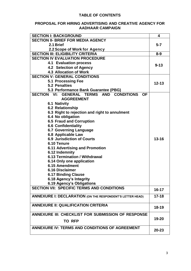#### **TABLE OF CONTENTS**

#### **PROPOSAL FOR HIRING ADVERTISING AND CREATIVE AGENCY FOR AADHAAR CAMPAIGN**

| <b>SECTION I: BACKGROUND</b>                                                     | 4         |
|----------------------------------------------------------------------------------|-----------|
| <b>SECTION II- BRIEF FOR MEDIA AGENCY</b>                                        |           |
| 2.1 Brief                                                                        | $5 - 7$   |
| 2.2 Scope of Work for Agency                                                     |           |
| <b>SECTION III: ELIGIBILITY CRITERIA</b>                                         | $8 - 9$   |
| <b>SECTION IV EVALUATION PROCEDURE</b>                                           |           |
| <b>4.1 Evaluation process</b>                                                    | $9 - 13$  |
| 4.2 Selection of Agency                                                          |           |
| <b>4.3 Allocation of Work</b>                                                    |           |
| <b>SECTION V: GENERAL CONDITIONS</b>                                             |           |
| 5.1 Processing Fee                                                               | $12 - 13$ |
| <b>5.2 Penalties</b>                                                             |           |
| 5.3 Performance Bank Guarantee (PBG)                                             |           |
| <b>SECTION VI:</b><br><b>GENERAL TERMS AND</b><br><b>CONDITIONS</b><br><b>OF</b> |           |
| <b>AGGREEMENT</b>                                                                |           |
| <b>6.1 Nativity</b>                                                              |           |
| 6.2 Relationship                                                                 |           |
| 6.3 Right to rejection and right to annulment                                    |           |
| 6.4 No obligation                                                                |           |
| <b>6.5 Fraud and Corruption</b>                                                  |           |
| <b>6.6 Confidentiality</b>                                                       |           |
| <b>6.7 Governing Language</b>                                                    |           |
| 6.8 Applicable Law                                                               |           |
| <b>6.9 Jurisdiction of Courts</b>                                                | $13 - 16$ |
| 6.10 Tenure                                                                      |           |
| <b>6.11 Advertising and Promotion</b>                                            |           |
| 6.12 Indemnity<br>6.13 Termination / Withdrawal                                  |           |
| 6.14 Only one application                                                        |           |
| 6.15 Amendment                                                                   |           |
| <b>6.16 Disclaimer</b>                                                           |           |
| <b>6.17 Binding Clause</b>                                                       |           |
| 6.18 Agency's Integrity                                                          |           |
| 6.19 Agency's Obligations                                                        |           |
| <b>SECTION VII: SPECIFIC TERMS AND CONDITIONS</b>                                |           |
|                                                                                  | $16 - 17$ |
| ANNEXURE I: DECLARATION (ON THE RESPONDENT'S LETTER HEAD)                        | $17 - 18$ |
|                                                                                  |           |
| <b>ANNEXURE II: QUALIFICATION CRITERIA</b>                                       |           |
|                                                                                  | $18 - 19$ |
| ANNEXURE III: CHECKLIST FOR SUBMISSION OF RESPONSE                               |           |
| <b>TO RFP</b>                                                                    | 19-20     |
|                                                                                  |           |
| <b>ANNEXURE IV: TERMS AND CONDITIONS OF AGREEMENT</b>                            | $20 - 23$ |
|                                                                                  |           |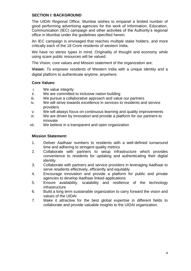#### **SECTION I: BACKGROUND**

The UIDAI Regional Office, Mumbai wishes to empanel a limited number of good performing advertising agencies for the work of Information, Education, Communication (IEC) campaign and other activities of the Authority's regional office in Mumbai under the guidelines specified herein.

An IEC campaign is envisaged that reaches multiple stake holders, and more critically each of the 18 Crore residents of western India.

We have no stereo types in mind. Originality of thought and economy while using scare public resources will be valued.

The Vision, core values and Mission statement of the organization are:

**Vision:** *To empower residents* of Western India with a unique identity and a digital platform to authenticate anytime, anywhere.

#### **Core Values:**

- i. We value integrity
- ii. We are committed to inclusive nation building
- iii. We pursue a collaborative approach and value our partners
- iv. We will strive towards excellence in services to residents and service providers
- v. We will always focus on continuous learning and quality improvements
- vi. We are driven by innovation and provide a platform for our partners to innovate
- vii. We believe in a transparent and open organization

#### **Mission Statement:**

- 1. Deliver Aadhaar numbers to residents with a well-defined turnaround time and adhering to stringent quality metrics
- 2. Collaborate with partners to setup infrastructure which provides convenience to residents for updating and authenticating their digital identity
- 3. Collaborate with partners and service providers in leveraging Aadhaar to serve residents effectively, efficiently and equitably
- 4. Encourage innovation and provide a platform for public and private agencies to develop Aadhaar linked applications
- 5. Ensure availability, scalability and resilience of the technology infrastructure
- 6. Build a long term sustainable organization to carry forward the vision and values of the UIDAI
- 7. Make it attractive for the best global expertise in different fields to collaborate and provide valuable insights to the UIDAI organization.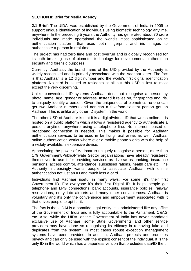#### **SECTION II: Brief for Media Agency**

**2.1 Brief:** The UIDAI was established by the Government of India in 2009 to support unique identification of individuals using biometric technology anytime, anywhere. In the preceding 5 years the Authority has generated about 70 crore individuals and made operational the world's most sophisticated online authentication platform that uses both fingerprint and iris images to authenticate a person in real-time.

The project has had zero time and cost overrun and is globally recognised for its path breaking use of biometric technology for developmental rather than security and forensic purposes.

Currently, Aadhaar, the brand name of the UID provided by the Authority is widely recognised and is primarily associated with the Aadhaar letter. The fact is that Aadhaar is a 12 digit number and the world's first digital identification platform. No card is issued to residents at all but this USP is lost to most except the very discerning.

Unlike conventional ID systems Aadhaar does not recognise a person by photo, name, age, gender or address. Instead it relies on, fingerprints and iris, to uniquely identify a person. Given the uniqueness of biometrics no one can get two Aadhaar numbers and nor can a fake/non-existent person get an Aadhaar. This is unlike any other ID system in the world.

The other USP of Aadhaar is that it is a digital/virtual ID that works online. It is hosted on a public platform which allows a registered agency to authenticate a person, anytime, anywhere using a telephone line. No internet, leased or broadband connection is needed. This makes it possible for Aadhaar authentication services to be used in far flung rural areas as well. Aadhaar online authentication works where ever a mobile phone works with the help of a widely available, inexpensive device.

Appreciating the power of Aadhaar to uniquely recognise a person, more than 179 Government/Public/Private Sector organisations have already registered themselves to use it for providing services as diverse as banking, insurance pensions, access control, attendance, subsidised rations, health care etc. The Authority increasingly wants people to associate Aadhaar with online authentication not just an ID and much less a card.

Individuals find Aadhaar useful in many ways. For some, it's their first Government ID. For everyone it's their first Digital ID. It helps people get telephone and LPG connections, bank accounts, insurance policies, railway reservations, entry into airports and many other conveniences. Aadhaar is voluntary and it's only the convenience and empowerment associated with it that drives people to opt for it.

The fact is the UIDAI is a bonafide legal entity; it is administered like any office of the Government of India and is fully accountable to the Parliament, C&AG etc. Also, while the UIDAI or the Government of India has never mandated exclusive use of Aadhaar, some State Governments and other service providers may have done so recognising its efficacy in removing fake and duplicates from the system. In most cases robust exception management systems have been provided. In addition, Aadhaar protects and promotes privacy and can only be used with the explicit consent of the individual. It is the only ID in the world which has a paperless version that precludes data/ID theft.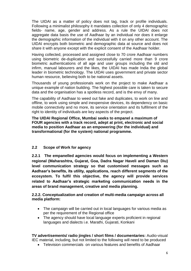The UIDAI as a matter of policy does not tag, track or profile individuals. Following a minimalist philosophy it mandates collection of only 4 demographic fields- name, age, gender and address. As a rule the UIDAI does not aggregate data basis the use of Aadhaar by an individual nor does it enlarge the demographic information of the individual with it on any other account. The UIDAI encrypts both biometric and demographic data at source and does not share it with anyone except with the explicit consent of the Aadhaar holder.

Having collected, processed and assigned close to 70 crore Aadhaar numbers using biometric de-duplication and successfully carried more than 9 crore biometric authentications of all age and user groups including the old and infirm, manual labourers and the likes, the UIDAI has made India the global leader in biometric technology. The UIDAI uses government and private sector human resource, believing both to be national assets.

Thousands of young professionals work on the project to make Aadhaar a unique example of nation building. The highest possible care is taken to secure data and the organisation has a spotless record, and is the envy of many.

The capability of Aadhaar to weed out fake and duplicates, to work on line and offline, to work using simple and inexpensive devices, its dependency on basic mobile connectivity and no more, its service orientation and its fulfilment of the right to identity of individuals are key aspects of the project.

**The UIDAI Regional Office, Mumbai seeks to empanel a maximum of FOUR agencies with a track record, adept at print, electronic and social media to position Aadhaar as an empowering (for the individual) and transformational (for the system) national programme.**

#### **2.2 Scope of Work for agency**

**2.2.1 The empanelled agencies would focus on implementing a Western regional (Maharashtra, Gujarat, Goa, Dadra Nagar Haveli and Daman Diu) level communication strategy so that customised messages such as Aadhaar's benefits, its utility, applications, reach different segments of the ecosystem. To fulfil this objective, the agency will provide services related to Aadhaar's strategic marketing communication needs in the areas of brand management, creative and media planning.** 

#### **2.2.2. Conceptualization and creation of multi-media campaign across all media platform:**

- The campaign will be carried out in local languages for various media as per the requirement of the Regional office
- The agency should have local language experts proficient in regional languages and dialects i.e. Marathi, Gujarati, Konkani

**TV advertisements/ radio jingles / short films / documentaries:** Audio-visual IEC material, including, but not limited to the following will need to be produced

Television commercials on various features and benefits of Aadhaar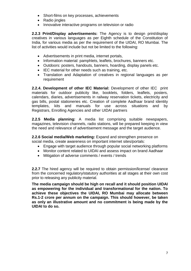- Short-films on key processes, achievements
- Radio iingles
- Innovative interactive programs on television or radio

**2.2.3 Print/Display advertisements:** The Agency is to design print/display creatives in various languages as per Eighth schedule of the Constitution of India, for various media as per the requirement of the UIDAI, RO Mumbai. The list of activities would include but not be limited to the following:

- Advertisements in print media, internet portals,
- Information material: pamphlets, leaflets, brochures, banners etc.
- Outdoors: posters, handouts, banners, hoarding, display panels etc.
- IEC material for other needs such as training, etc.
- Translation and Adaptation of creatives in regional languages as per requirement

**2.2.4. Development of other IEC Material:** Development of other IEC print materials for outdoor publicity like, booklets, folders, leaflets, posters, calendars, diaries, advertisements in railway reservation tickets, electricity and gas bills, postal stationeries etc. Creation of complete Aadhaar brand identity templates, kits and manuals for use across situations and by Registrars, Enrolling Agencies and other UIDAI partners

**2.2.5 Media planning:** A media list comprising suitable newspapers, magazines, television channels, radio stations, will be prepared keeping in view the need and relevance of advertisement message and the target audience.

**2.2.6 Social media/Web marketing:** Expand and strengthen presence on social media, create awareness on important internet sites/portals:

- Engage with target audience through popular social networking platforms
- Monitor content related to UIDAI and assess impact on brand Aadhaar
- Mitigation of adverse comments / events / trends

**2.2.7** The hired agency will be required to obtain permission/license/ clearance from the concerned regulatory/statutory authorities at all stages at their own cost prior to releasing any publicity material.

**The media campaign should be high on recall and it should position UIDAI as empowering for the individual and transformational for the nation. To achieve these objectives the UIDAI, RO Mumbai may allocate between Rs.1-2 crore per annum on the campaign. This should however, be taken as only an illustrative amount and no commitment is being made by the UIDAI to do so.**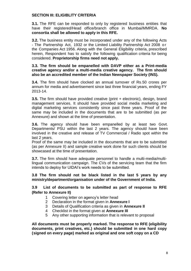#### **SECTION III: ELIGIBLITY CRITERIA**

**3.1.** The RFE can be responded to only by registered business entities that have their registered/Head office/branch office in Mumbai/MMRDA. **No consortia shall be allowed to apply in this RFE.**

**3.2.** The business entity must be incorporated under any of the following Acts - The Partnership Act, 1932 or the Limited Liability Partnership Act 2008 o r the Companies Act 1956. Along with the General Eligibility criteria, prescribed herein, Respondent has to satisfy the following qualification criteria for being considered. **Proprietorship firms need not apply.**

#### **3.3. The firm should be empanelled with DAVP either as a Print-media creative agency and/or a multi-media creative agency. The firm should also be an accredited member of the Indian Newspaper Society (INS).**

**3.4.** The firm should have clocked an annual turnover of Rs.50 crores per annum for media and advertisement since last three financial years, ending FY 2013-14.

**3.5.** The firm should have provided creative (print + electronic), design, brand management services. It should have provided social media marketing and digital marketing services consistently since past three years. Proof of the same may be included in the documents that are to be submitted (as per Annexure) and shown at the time of presentation.

**3.6.** The agency should have been empanelled by at least two Govt. Departments/ PSU within the last 2 years. The agency should have been involved in the creative and release of TV Commercial / Radio spot within the last 2 years.

Proof of the same may be included in the documents that are to be submitted (as per Annexure II) and sample creative work done for such clients should be showcased at the time of presentation.

**3.7.** The firm should have adequate personnel to handle a multi-media/multilingual communication campaign. The CVs of the servicing team that the firm intends to deploy for UIDAI's work needs to be submitted.

**3.8 The firm should not be black listed in the last 5 years by any ministry/department/organisation under of the Government of India.**

#### **3.9 List of documents to be submitted as part of response to RFE (Refer to Annexure II)**

- 1 Covering letter on agency's letter head
- 2 Declaration in the format given in **Annexure I**
- 3 Details of Qualification criteria as given in **Annexure II**
- 4 Checklist in the format given at **Annexure III**
- 5 Any other supporting information that is relevant to proposal

**All documents must be properly marked. The response to RFE (eligibility documents, print creatives, etc.) should be submitted in one hard copy (signed on every page) marked as original and one soft copy on a CD**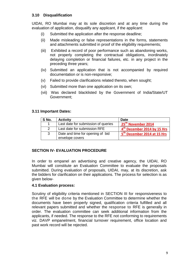#### **3.10 Disqualification**

UIDAI, RO Mumbai may at its sole discretion and at any time during the evaluation of application, disqualify any applicant, if the applicant:

- (i) Submitted the application after the response deadline;
- (ii) Made misleading or false representations in the forms, statements and attachments submitted in proof of the eligibility requirements;
- (iii) Exhibited a record of poor performance such as abandoning works, not properly completing the contractual obligations, inordinately delaying completion or financial failures, etc. in any project in the preceding three years;
- (iv) Submitted an application that is not accompanied by required documentation or is non-responsive;
- (v) Failed to provide clarifications related thereto, when sought;
- (vi) Submitted more than one application on its own;
- (vii) Was declared blacklisted by the Government of India/State/UT Government;

#### **3.11 Important Dates:**

| S No. | <b>Activity</b>                     | <b>Date</b>                             |
|-------|-------------------------------------|-----------------------------------------|
|       | Last date for submission of queries | 25 <sup>th</sup> November 2014          |
| 2     | Last date for submission RFE        | 4 <sup>th</sup> December 2014 by 15 Hrs |
| 3     | Date and time for opening of bid    | 5 <sup>th</sup> December 2014 at 15 Hrs |
|       | envelope covers                     |                                         |

#### **SECTION IV- EVALUATION PROCEDURE**

In order to empanel an advertising and creative agency, the UIDAI, RO Mumbai will constitute an Evaluation Committee to evaluate the proposals submitted. During evaluation of proposals, UIDAI, may, at its discretion, ask the bidders for clarification on their applications. The process for selection is as given below-

#### **4.1 Evaluation process:**

Scrutiny of eligibility criteria mentioned in SECTION III for responsiveness to the RFE will be done by the Evaluation Committee to determine whether the documents have been properly signed, qualification criteria fulfilled and all relevant papers submitted and whether the response to RFE is generally in order. The evaluation committee can seek additional information from the applicants, if needed. The response to the RFE not conforming to requirements viz. DAVP empanelment, financial turnover requirement, office location and past work record will be rejected.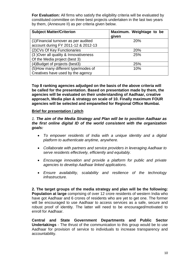**For Evaluation:** All firms who satisfy the eligibility criteria will be evaluated by constituted committee on three best projects undertaken in the last two years by them, (Annexure II) as per criteria given below.

| <b>Subject Matter/Criterion</b>                                              | Maximum. Weightage to be<br>given |
|------------------------------------------------------------------------------|-----------------------------------|
| (1) Financial turnover as per audited<br>account during FY 2011-12 & 2012-13 | <b>20%</b>                        |
| (2) CVs Of Key Functionaries                                                 | <b>20%</b>                        |
| (3) Over all quality & Innovativeness<br>Of the Media project (best 3)       | 25%                               |
| (4) Budget of projects (best3)                                               | 25%                               |
| (5) How many different type/modes of<br>Creatives have used by the agency    | 10%                               |

**Top 8 ranking agencies adjudged on the basis of the above criteria will be called for the presentation. Based on presentation made by them, the agencies will be evaluated on their understanding of Aadhaar, creative approach, Media plan & strategy on scale of 10. Finally maximum FOUR agencies will be selected and empanelled for Regional Office Mumbai.**

#### **Brief for presentation / pitch**

*1. The aim of the Media Strategy and Plan will be to position Aadhaar as the first online digital ID of the world consistent with the organization goals:*

- *To empower residents of India with a unique identity and a digital platform to authenticate anytime, anywhere.*
- *Collaborate with partners and service providers in leveraging Aadhaar to serve residents effectively, efficiently and equitably.*
- *Encourage innovation and provide a platform for public and private agencies to develop Aadhaar linked applications.*
- *Ensure availability, scalability and resilience of the technology infrastructure.*

**2. The target groups of the media strategy and plan will be the following: Population at large** comprising of over 12 crore residents of western India who have got Aadhaar and 6 crores of residents who are yet to get one. The former will be encouraged to use Aadhaar to access services as a safe, secure and robust proof of identity. The latter will need to be encouraged/motivated to enroll for Aadhaar.

**Central and State Government Departments and Public Sector Undertakings** - The thrust of the communication to this group would be to use Aadhaar for provision of service to individuals to increase transparency and accountability.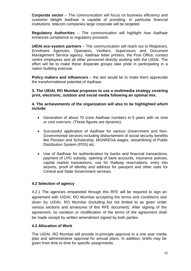**Corporate sector** – The communication will focus on business efficiency and customer delight Aadhaar is capable of providing. In particular financial institutions, telecom companies large corporate will be targeted.

**Regulatory Authorities** – The communication will highlight how Aadhaar enhances compliance to regulatory provision.

**UIDAI eco-system partners** – The communication will reach out to Registrars, Enrolment Agencies, Operators, Verifiers, Supervisors and Document Management Service agency, Aadhaar letter printers, the Post Office, contact centre employees and all other personnel directly working with the UIDAI. The effort will be to make these disparate groups take pride in participating in a nation building exercise.

**Policy makers and influencers** – the aim would be to make them appreciate the transformational potential of Aadhaar.

**3. The UIDAI, RO Mumbai proposes to use a multimedia strategy covering print, electronic, outdoor and social media following an optimal mix.**

**4. The achievements of the organization will also to be highlighted which include:**

- Generation of about 70 crore Aadhaar numbers in 5 years with no time or cost overruns. (These figures are dynamic).
- Successful application of Aadhaar for various Government and Non-Governmental services including disbursement of social security benefits like Pension and Scholarship, MGNREGA wages, streamlining of Public Distribution System (PDS) etc.
- Use of Aadhaar for authentication by banks and financial transactions, payment of LPG subsidy, opening of bank accounts, insurance policies, capital market transactions, use for Railway reservations, entry into airports, proof of identity and address for passport and other uses for Central and State Government services.

#### **4.2 Selection of agency**

4.2.1 The agencies empaneled through this RFE will be required to sign an agreement with UIDAI, RO Mumbai accepting the terms and conditions laid down by UIDAI, RO Mumbai (including but not limited to as given under various sections and annexures of this RFE document). After signing of the agreement, no variation or modification of the terms of the agreement shall be made except by written amendment signed by both parties.

#### **4.3 Allocation of Work**

The UIDAI, RO Mumbai will provide in-principle approval to a one year media plan and administrative approval for annual plans. In addition, briefs may be given from time to time for specific assignments.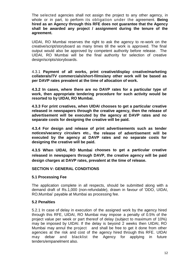The selected agencies shall not assign the project to any other agency, in whole or in part, to perform its obligation under the agreement. **Being hired as an Agency through this RFE does not guarantee that the Agency shall be awarded any project / assignment during the tenure of the agreement.** 

UIDAI, RO Mumbai reserves the right to ask the agency to re-work on the creative/script/storyboard as many times till the work is approved. The final output would also be approved by competent authority before release. The UIDAI, RO Mumbai will be the final authority for selection of creative design/scripts/storyboards.

4.3.1 **Payment of all works, print creative/display creative/marketing collaterals/TV commercials/short-films/any other work will be based as per DAVP rates prevalent at the time of allocation of work.**

**4.3.2 In cases, where there are no DAVP rates for a particular type of work, then appropriate tendering procedure for such activity would be resorted to by UIDAI, RO Mumbai.** 

**4.3.3 For print creatives, when UIDAI chooses to get a particular creative released in newspapers through the creative agency, then the release of advertisement will be executed by the agency at DAVP rates and no separate costs for designing the creative will be paid.**

**4.3.4 For design and release of print advertisements such as tender notices/vacancy circulars etc., the release of advertisement will be executed by the agency at DAVP rates and no separate costs for designing the creative will be paid.**

**4.3.5 When UIDAI, RO Mumbai chooses to get a particular creative released in newspapers through DAVP, the creative agency will be paid design charges at DAVP rates, prevalent at the time of release.**

#### **SECTION V: GENERAL CONDITIONS**

#### **5.1 Processing Fee**

The application complete in all respects, should be submitted along with a demand draft of Rs.1,000 (non-refundable), drawn in favour of 'DDO, UIDAI, RO,Mumbai' payable at Mumbai as processing fee.

#### **5.2 Penalties**

5.2.1 In case of delay in execution of the assigned work by the agency hired through this RFE, UIDAI, RO Mumbai may impose a penalty of 0.5% of the project value per week or part thereof of delay (subject to maximum of 10%) may be imposed by UIDAI. If the delay is beyond 2 weeks then UIDAI, RO Mumbai may annul the project and shall be free to get it done from other agencies at the risk and cost of the agency hired through this RFE. UIDAI may debar and blacklist the Agency for applying in future tenders/empanelment also.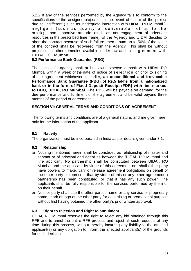5.2.2 If any of the services performed by the Agency fails to conform to the specifications of the assigned project or in the event of failure of the project due to indifferent ( such as inadequate interaction with UIDAI, RO Mumbai ), negligent (such as quality of deliverable not up to the m a r k), non-supportive attitude (such as non-engagement of adequate resources in the prescribed time frame), of the Agency and UIDAI decides to abort the contract because of such failure, then a sum up to 50% of the value of the contract shall be recovered from the Agency. This shall be without prejudice to other remedies available under law and this agreement with UIDAI, RO Mumbai.

#### **5.3 Performance Bank Guarantee (PBG)**

The successful agency shall at its own expense deposit with UIDAI, RO Mumbai within a week of the date of notice of selection or prior to signing of the agreement whichever is earlier, **an unconditional and irrevocable Performance Bank Guarantee (PBG) of Rs.5 lakhs from a nationalized bank or in the form of Fixed Deposit Receipt (FDR) with lien marked to DDO, UIDAI, RO Mumbai.** The PBG will be payable on demand, for the due performance and fulfilment of the agreement and be valid beyond three months of the period of agreement.

#### **SECTION VI: GENERAL TERMS AND CONDITIONS OF AGREEMENT**

The following terms and conditions are of a general nature, and are given here only for the information of the applicant.

#### **6.1 Nativity**

The organization must be incorporated in India as per details given under 3.1.

#### **6.2 Relationship**

- a) Nothing mentioned herein shall be construed as relationship of master and servant or of principal and agent as between the 'UIDAI, RO Mumbai and 'the applicant. No partnership shall be constituted between UIDAI, RO Mumbai and the applicant by virtue of this agreement nor shall either party have powers to make, vary or release agreement obligations on behalf of the other party or represent that by virtue of this or any other agreement a partnership has been constituted, or that it has any such power. The applicants shall be fully responsible for the services performed by them or on their behalf.
- b) Neither party shall use the other parties name or any service or proprietary name, mark or logo of the other party for advertising or promotional purpose without first having obtained the other party's prior written approval.

#### **6.3 Right to rejection and Right to annulment**

UIDAI, RO Mumbai reserves the right to reject any bid obtained through this RFE and to annul the entire RFE process and reject all such requests at any time during this process, without thereby incurring any liability to the affected applicant(s) or any obligation to inform the affected applicant(s) of the grounds for such decision.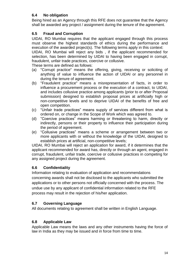#### **6.4 No obligation**

Being hired as an Agency through this RFE does not guarantee that the Agency shall be awarded any project / assignment during the tenure of the agreement.

#### **6.5 Fraud and Corruption**

UIDAI, RO Mumbai requires that the applicant engaged through this process must observe the highest standards of ethics during the performance and execution of the awarded project(s). The following terms apply in this context:

UIDAI, RO Mumbai will reject any bids , if the applicant recommended for selection, has been determined by UIDAI to having been engaged in corrupt, fraudulent, unfair trade practices, coercive or collusive.

These terms are defined as follows:

- (a) "Corrupt practice" means the offering, giving, receiving or soliciting of anything of value to influence the action of UIDAI or any personnel in during the tenure of agreement.
- (b) "Fraudulent practice" means a misrepresentation of facts, in order to influence a procurement process or the execution of a contract, to UIDAI, and includes collusive practice among applicants (prior to or after Proposal submission) designed to establish proposal prices at artificially high or non-competitive levels and to deprive UIDAI of the benefits of free and open competition.
- (c) "Unfair trade practices" means supply of services different from what is ordered on, or change in the Scope of Work which was agreed to.
- (d) "Coercive practices" means harming or threatening to harm, directly or indirectly, persons or their property to influence their participation during the period of agreement.
- (e) "Collusive practices" means a scheme or arrangement between two or more applicants with or without the knowledge of the UIDAI, designed to establish prices at artificial, non-competitive levels;

UIDAI, RO Mumbai will reject an application for award, if it determines that the applicant recommended for award has, directly or through an agent, engaged in corrupt, fraudulent, unfair trade, coercive or collusive practices in competing for any assigned project during the agreement.

#### **6.6 Confidentiality**

Information relating to evaluation of application and recommendations concerning awards shall not be disclosed to the applicants who submitted the applications or to other persons not officially concerned with the process. The undue use by any applicant of confidential information related to the RFE process may result in the rejection of his/her application.

#### **6.7 Governing Language**

All documents relating to agreement shall be written in English Language.

#### **6.8 Applicable Law**

Applicable Law means the laws and any other instruments having the force of law in India as they may be issued and in force from time to time.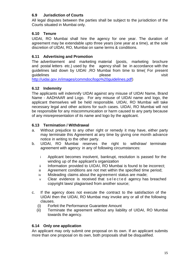#### **6.9 Jurisdiction of Courts**

All legal disputes between the parties shall be subject to the jurisdiction of the Courts situated in Mumbai only.

#### **6.10 Tenure**

UIDAI, RO Mumbai shall hire the agency for one year. The duration of agreement may be extendable upto three years (one year at a time), at the sole discretion of UIDAI, RO, Mumbai on same terms & conditions.

#### **6.11 Advertising and Promotion**

The advertisement and marketing material (posts, marketing brochure and postal letters etc.) used by the agency shall be in accordance with the guidelines laid down by UIDAI ,RO Mumbai from time to time( For present guidelines **please please visit** [http://uidai.gov.in/images/commdoc/logo%20guidelines.pdf\)](http://uidai.gov.in/images/commdoc/logo%20guidelines.pdf)

#### **6.12 Indemnity**

The applicants will indemnify UIDAI against any misuse of UIDAI Name, Brand Name - AADHAAR and Logo. For any misuse of UIDAI name and logo, the applicant themselves will be held responsible. UIDAI, RO Mumbai will take necessary legal and other actions for such cases. UIDAI, RO Mumbai will not be responsible for any miscommunication or harm caused to any party because of any misrepresentation of its name and logo by the applicant.

#### **6.13 Termination / Withdrawal**

- a. Without prejudice to any other right or remedy it may have, either party may terminate this Agreement at any time by giving one month advance notice in writing to the other party.
- b. UIDAI, RO Mumbai reserves the right to withdraw/ terminate agreement with agency in any of following circumstances:
	- i Applicant becomes insolvent, bankrupt, resolution is passed for the winding up of the applicant's organization
	- ii Information provided to UIDAI, RO Mumbai is found to be incorrect;
	- iii Agreement conditions are not met within the specified time period;
	- iv Misleading claims about the agreement status are made;
	- v Clear evidence is received that selected agency has breached copyright laws/ plagiarised from another source;
- c. If the agency does not execute the contract to the satisfaction of the UIDAI then the UIDAI, RO Mumbai may invoke any or all of the following clauses.
	- (i) Forfeit the Performance Guarantee Amount
	- (ii) Terminate the agreement without any liability of UIDAI, RO Mumbai towards the agency.

#### **6.14 Only one application**

An applicant may only submit one proposal on its own. If an applicant submits more than one proposal on its own, both proposals shall be disqualified.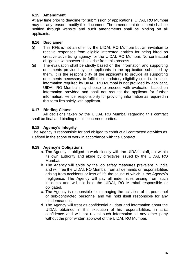#### **6.15 Amendment**

At any time prior to deadline for submission of applications, UIDAI, RO Mumbai may for any reason, modify this document. The amendment document shall be notified through website and such amendments shall be binding on all applicants.

#### **6.16 Disclaimer**

- (i) This RFE is not an offer by the UIDAI, RO Mumbai but an invitation to receive responses from eligible interested entities for being hired as creative advertising agency for the UIDAI, RO Mumbai. No contractual obligation whatsoever shall arise from this process.
- (ii) The evaluation shall be strictly based on the information and supporting documents provided by the applicants in the application submitted by them. It is the responsibility of the applicants to provide all supporting documents necessary to fulfil the mandatory eligibility criteria. In case, information required by UIDAI, RO Mumbai is not provided by applicant, UIDAI, RO Mumbai may choose to proceed with evaluation based on information provided and shall not request the applicant for further information. Hence, responsibility for providing information as required in this form lies solely with applicant.

#### **6.17 Binding Clause**

All decisions taken by the UIDAI, RO Mumbai regarding this contract shall be final and binding on all concerned parties.

#### **6.18 Agency's Integrity**

The Agency is responsible for and obliged to conduct all contracted activities as Defined in the scope of work in accordance with the Contract.

#### **6.19 Agency's Obligations**

- a. The Agency is obliged to work closely with the UIDAI's staff, act within its own authority and abide by directives issued by the UIDAI, RO Mumbai.
- b. The Agency will abide by the job safety measures prevalent in India and will free the UIDAI, RO Mumbai from all demands or responsibilities arising from accidents or loss of life the cause of which is the Agency's negligence. The Agency will pay all indemnities arising from such incidents and will not hold the UIDAI, RO Mumbai responsible or obligated.
- c. The Agency is responsible for managing the activities of its personnel or sub-contracted personnel and will hold itself responsible for any misdemeanour.
- d. The Agency will treat as confidential all data and information about the UIDAI, obtained in the execution of his responsibilities, in strict confidence and will not reveal such information to any other party without the prior written approval of the UIDAI, RO Mumbai.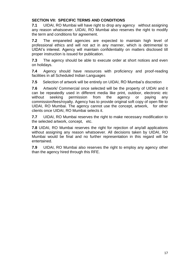#### **SECTION VII: SPECIFIC TERMS AND CONDITIONS**

**7.1** UIDAI, RO Mumbai will have right to drop any agency without assigning any reason whatsoever. UIDAI, RO Mumbai also reserves the right to modify the term and conditions for agreement.

**7.2** The empaneled agencies are expected to maintain high level of professional ethics and will not act in any manner, which is detrimental to UIDAI's interest. Agency will maintain confidentiality on matters disclosed till proper instruction is issued for publication.

**7.3** The agency should be able to execute order at short notices and even on holidays.

**7.4** Agency should have resources with proficiency and proof-reading facilities in all Scheduled Indian Languages

**7.5** Selection of artwork will be entirely on UIDAI, RO Mumbai's discretion

**7.6** Artwork/ Commercial once selected will be the property of UIDAI and it can be repeatedly used in different media like print, outdoor, electronic etc without seeking permission from the agency or paying any commission/fees/royalty. Agency has to provide original soft copy of open file to UIDAI, RO Mumbai. The agency cannot use the concept, artwork, for other clients once UIDAI, RO Mumbai selects it.

**7.7** UIDAI, RO Mumbai reserves the right to make necessary modification to the selected artwork, concept, etc.

**7.8** UIDAI, RO Mumbai reserves the right for rejection of any/all applications without assigning any reason whatsoever. All decisions taken by UIDAI, RO Mumbai would be final and no further representation in this regard will be entertained.

**7.9** UIDAI, RO Mumbai also reserves the right to employ any agency other than the agency hired through this RFE.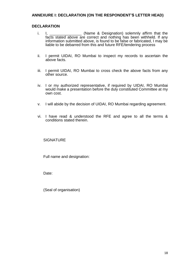#### **ANNEXURE I: DECLARATION (ON THE RESPONDENT'S LETTER HEAD)**

#### **DECLARATION**

- i. I, \_\_\_\_\_\_\_\_\_\_\_\_\_\_\_ (Name & Designation) solemnly affirm that the facts stated above are correct and nothing has been withheld. If any information submitted above, is found to be false or fabricated, I may be liable to be debarred from this and future RFE/tendering process
- ii. I permit UIDAI, RO Mumbai to inspect my records to ascertain the above facts.
- iii. I permit UIDAI, RO Mumbai to cross check the above facts from any other source.
- iv. I or my authorized representative, if required by UIDAI, RO Mumbai would make a presentation before the duly constituted Committee at my own cost.
- v. I will abide by the decision of UIDAI, RO Mumbai regarding agreement.
- vi. I have read & understood the RFE and agree to all the terms & conditions stated therein.

#### **SIGNATURE**

Full name and designation:

Date:

(Seal of organisation)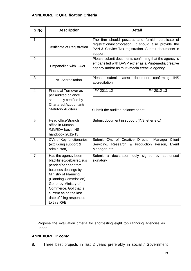#### **ANNEXURE II: Qualification Criteria**

| S No.          | <b>Description</b>                                                                                                                                                                                                                                                     | <b>Detail</b>                                                                                                                                                                   |                            |
|----------------|------------------------------------------------------------------------------------------------------------------------------------------------------------------------------------------------------------------------------------------------------------------------|---------------------------------------------------------------------------------------------------------------------------------------------------------------------------------|----------------------------|
| 1              | Certificate of Registration                                                                                                                                                                                                                                            | The firm should possess and furnish certificate of<br>registration/incorporation. It should also provide the<br>PAN & Service Tax registration. Submit documents in<br>support. |                            |
| $\overline{2}$ | Empanelled with DAVP                                                                                                                                                                                                                                                   | Please submit documents confirming that the agency is<br>empanelled with DAVP either as a Print-media creative<br>agency and/or as multi-media creative agency                  |                            |
| 3              | <b>INS Accreditation</b>                                                                                                                                                                                                                                               | submit<br>Please<br>latest<br>document<br>accreditation                                                                                                                         | <b>INS</b><br>confirming   |
| $\overline{4}$ | <b>Financial Turnover as</b><br>per audited balance<br>sheet duly certified by<br>Chartered Accountant/<br><b>Statutory Auditors</b>                                                                                                                                   | FY 2011-12<br>Submit the audited balance sheet                                                                                                                                  | FY 2012-13                 |
| 5              | Head office/Branch<br>office in Mumbai<br>/MMRDA basis INS<br>handbook 2012-13                                                                                                                                                                                         | Submit document in support (INS letter etc.)                                                                                                                                    |                            |
| 6              | CVs of Key functionaries<br>(excluding support &<br>admin staff)                                                                                                                                                                                                       | Submit CVs of Creative Director, Manager Client<br>Servicing, Research & Production Person,<br>Manager, etc                                                                     | Event                      |
| $\overline{7}$ | Has the agency been<br>blacklisted/debarred/sus<br>pended/banned from<br>business dealings by<br>Ministry of Planning<br>(Planning Commission),<br>Gol or by Ministry of<br>Commerce, Gol that is<br>current as on the last<br>date of filing responses<br>to this RFE | Submit a<br>declaration duly<br>signatory                                                                                                                                       | signed<br>by<br>authorised |

Propose the evaluation criteria for shortlesting eight top ranncing agencies as under

#### **ANNEXURE II: contd…**

8. Three best projects in last 2 years preferably in social / Government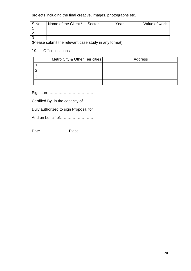projects including the final creative, images, photographs etc.

| S No. | Name of the Client * | Sector | Year | Value of work |
|-------|----------------------|--------|------|---------------|
|       |                      |        |      |               |
|       |                      |        |      |               |
|       |                      |        |      |               |

(Please submit the relevant case study in any format)

#### ` 9. Office locations

| Metro City & Other Tier cities | Address |
|--------------------------------|---------|
|                                |         |
|                                |         |
|                                |         |
|                                |         |

Signature……………………………….

Certified By, in the capacity of………………………

Duly authorized to sign Proposal for

And on behalf of………………………

Date…………………..Place……………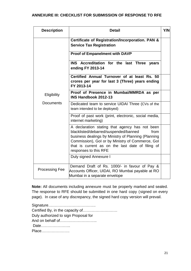#### **ANNEXURE III: CHECKLIST FOR SUBMISSION OF RESPONSE TO RFE**

| <b>Description</b>    | <b>Detail</b>                                                                                                                                                                                                                                                                           | <b>Y/N</b> |
|-----------------------|-----------------------------------------------------------------------------------------------------------------------------------------------------------------------------------------------------------------------------------------------------------------------------------------|------------|
|                       | Certificate of Registration/Incorporation. PAN &<br><b>Service Tax Registration</b>                                                                                                                                                                                                     |            |
|                       | <b>Proof of Empanelment with DAVP</b>                                                                                                                                                                                                                                                   |            |
|                       | INS Accreditation for the last Three years<br>ending FY 2013-14                                                                                                                                                                                                                         |            |
|                       | Certified Annual Turnover of at least Rs. 50<br>crores per year for last 3 (Three) years ending<br>FY 2013-14                                                                                                                                                                           |            |
| Eligibility           | Proof of Presence in Mumbai/MMRDA as per<br><b>INS Handbook 2012-13</b>                                                                                                                                                                                                                 |            |
| <b>Documents</b>      | Dedicated team to service UIDAI Three (CVs of the<br>team intended to be deployed)                                                                                                                                                                                                      |            |
|                       | Proof of past work (print, electronic, social media,<br>internet marketing)                                                                                                                                                                                                             |            |
|                       | A declaration stating that agency has not been<br>blacklisted/debarred/suspended/banned<br>from<br>business dealings by Ministry of Planning (Planning<br>Commission), Gol or by Ministry of Commerce, Gol<br>that is current as on the last date of filing of<br>responses to this RFE |            |
|                       | Duly signed Annexure I                                                                                                                                                                                                                                                                  |            |
| <b>Processing Fee</b> | Demand Draft of Rs. 1000/- in favour of Pay &<br>Accounts Officer, UIDAI, RO Mumbai payable at RO<br>Mumbai in a separate envelope                                                                                                                                                      |            |

**Note:** All documents including annexure must be properly marked and sealed. The response to RFE should be submitted in one hard copy (signed on every page). In case of any discrepancy, the signed hard copy version will prevail.

Signature………………………………. Certified By, in the capacity of……………………… Duly authorized to sign Proposal for And on behalf of……………………….. Date………………….. Place………………….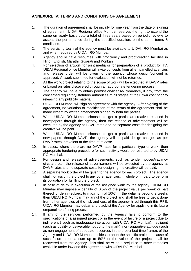#### **ANNEXURE IV: TERMS AND CONDITIONS OF AGREEMENT**

- 1. The duration of agreement shall be initially for one year from the date of signing of agreement. UIDAI Regional office Mumbai reserves the right to extend the same on yearly basis upto a total of three years based on periodic reviews to assess the performance during the specified duration, on the same terms & conditions.
- 2. The servicing team of the agency must be available to UIDAI, RO Mumbai as and when required by UIDAI, RO Mumbai.
- 3. Agency should have resources with proficiency and proof-reading facilities in Hindi, English, Marathi, Gujarati and Konkani.
- 4. For selection of artwork for print media or for preparation of a product for TV, UIDAI Regional office Mumbai will invite concepts from all empanelled agencies and release order will be given to the agency whose design/concept is approved. Artwork submitted for evaluation will not be returned.
- 5. All the work/project relating to the scope of work will be executed at DAVP rates or based on rates discovered through an appropriate tendering process.
- 6. The agency will have to obtain permission/license/ clearance, if any, from the concerned regulatory/statutory authorities at all stages at their own cost prior to releasing any publicity material.
- 7. UIDAI, RO Mumbai will sign an agreement with the agency. After signing of the agreement, no variation or modification of the terms of the agreement shall be made except by written amendment signed by both the parties.
- 8. When UIDAI, RO Mumbai chooses to get a particular creative released in newspapers through the agency, then the release of advertisement will be executed by the agency at DAVP rates and no separate costs for designing the creative will be paid.
- 9. When UIDAI, RO Mumbai chooses to get a particular creative released in newspapers through DAVP, the agency will be paid design charges as per DAVP rates, prevalent at the time of release.
- 10. In cases, where there are no DAVP rates for a particular type of work, then appropriate tendering procedure for such activity would be resorted to by UIDAI RO Mumbai.
- 11. For design and release of advertisements, such as tender notices/vacancy circulars etc., the release of advertisement will be executed by the agency at DAVP rates and no separate costs for designing the creative will be paid.
- 12. A separate work order will be given to the agency for each project. The agency shall not assign the project to any other agencies, in whole or in part, to perform its obligation for fulfilling the project.
- 13. In case of delay in execution of the assigned work by the agency, UIDAI RO Mumbai may impose a penalty of 0.5% of the project value per week or part thereof of delay (subject to maximum of 10%). If the delay is beyond 2 weeks then UIDAI RO Mumbai may annul the project and shall be free to get it done from other agencies at the risk and cost of the agency hired through this RFE. UIDAI RO Mumbai may debar and blacklist the Agency for applying in its future empanelment/hiring process.
- 14. If any of the services performed by the Agency fails to conform to the specifications of a assigned project or in the event of failure of a project due to indifferent ( such as inadequate interaction with UIDAI RO Mumbai), negligent (such as quality of deliverable not up to the mark), non-supportive attitude (such as non-engagement of adequate resources in the prescribed time frame), of the Agency and UIDAI RO Mumbai decides to abort the specific project because of such failure, then a sum up to 50% of the value of the project shall be recovered from the Agency. This shall be without prejudice to other remedies available under law and this agreement with UIDAI RO Mumbai.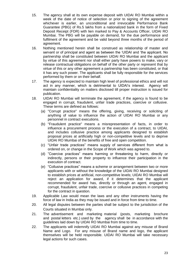- 15. The agency shall at its own expense deposit with UIDAI RO Mumbai within a week of the date of notice of selection or prior to signing of the agreement whichever is earlier, an unconditional and irrevocable Performance Bank Guarantee (PBG) of Rs.5 lakhs from a nationalized bank in the form of Fixed Deposit Receipt (FDR) with lien marked to Pay & Accounts Officer, UIDAI RO Mumbai. The PBG will be payable on demand, for the due performance and fulfilment of the agreement and be valid beyond three months of the period of agreement.
- 16. Nothing mentioned herein shall be construed as relationship of master and servant or of principal and agent as between the 'UIDAI and 'the applicant. No partnership shall be constituted between UIDAI RO Mumbai and the applicant by virtue of this agreement nor shall either party have powers to make, vary or release contractual obligations on behalf of the other party or represent that by virtue of this or any other agreement a partnership has been constituted, or that it has any such power. The applicants shall be fully responsible for the services performed by them or on their behalf.
- 17. The agency is expected to maintain high level of professional ethics and will not act in any manner, which is detrimental to UIDAI's interest. Agency will maintain confidentiality on matters disclosed till proper instruction is issued for publication.
- 18. UIDAI RO Mumbai will terminate the agreement, if the agency is found to be engaged in corrupt, fraudulent, unfair trade practices, coercive or collusive. These terms are defined as follows:
	- (a) "Corrupt practice" means the offering, giving, receiving or soliciting of anything of value to influence the action of UIDAI RO Mumbai or any personnel in contract executions.
	- (b) "Fraudulent practice" means a misrepresentation of facts, in order to influence a procurement process or the execution of a contract, to UIDAI, and includes collusive practice among applicants designed to establish proposal prices at artificially high or non-competitive levels and to deprive UIDAI RO Mumbai of the benefits of free and open competition.
	- (c) "Unfair trade practices" means supply of services different from what is ordered on, or change in the Scope of Work which was agreed to.
	- (d) "Coercive practices" means harming or threatening to harm, directly or indirectly, persons or their property to influence their participation in the execution of contract.
	- (e) "Collusive practices" means a scheme or arrangement between two or more applicants with or without the knowledge of the UIDAI RO Mumbai designed to establish prices at artificial, non-competitive levels; UIDAI RO Mumbai will reject an application for award, if it determines that the applicant recommended for award has, directly or through an agent, engaged in corrupt, fraudulent, unfair trade, coercive or collusive practices in competing for the contract in question.
- 19. Applicable Law would mean the laws and any other instruments having the force of law in India as they may be issued and in force from time to time.
- 20. All legal disputes between the parties shall be subject to the jurisdiction of the Courts situated in Mumbai only.
- 21. The advertisement and marketing material (posts, marketing brochure and postal letters etc.) used by the agency shall be in accordance with the guidelines laid down by UIDAI RO Mumbai from time to time.
- 22. The applicants will indemnify UIDAI RO Mumbai against any misuse of Brand Name and Logo. For any misuse of Brand name and logo, the applicant themselves will be held responsible. UIDAI RO Mumbai will take necessary legal actions for such cases.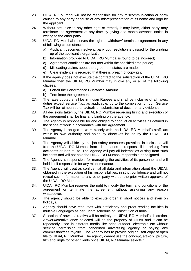- 23. UIDAI RO Mumbai will not be responsible for any miscommunication or harm caused to any party because of any misrepresentation of its name and logo by the applicant.
- 24. Without prejudice to any other right or remedy it may have, either party may terminate the agreement at any time by giving one month advance notice in writing to the other party.
- 25. UIDAI RO Mumbai reserves the right to withdraw/ terminate agreement in any of following circumstances:
	- a) Applicant becomes insolvent, bankrupt, resolution is passed for the winding up of the applicant's organization
	- b) Information provided to UIDAI, RO Mumbai is found to be incorrect;
	- c) Agreement conditions are not met within the specified time period;
	- d) Misleading claims about the agreement status are made;
	- e) Clear evidence is received that there is breach of copyright;
- 26. If the agency does not execute the contract to the satisfaction of the UIDAI, RO Mumbai then the UIDAI, RO Mumbai may invoke any or all of the following clauses.
	- a) Forfeit the Performance Guarantee Amount
	- b) Terminate the agreement.
- 27. The rates quoted shall be in Indian Rupees and shall be inclusive of all taxes, duties except service Tax, as applicable, up to the completion of job. Service Tax will be reimbursed on actuals on submission of documentary evidence.
- 28. All decisions taken by the UIDAI, RO Mumbai regarding hiring and execution of the agreement shall be final and binding on the agency.
- 29. The Agency is responsible for and obliged to conduct all activities as defined in the scope of work in accordance with the Agreement.
- 30. The Agency is obliged to work closely with the UIDAI RO Mumbai's staff, act within its own authority and abide by directives issued by the UIDAI, RO Mumbai.
- 31. The Agency will abide by the job safety measures prevalent in India and will free the UIDAI, RO Mumbai from all demands or responsibilities arising from accidents or loss of life. The Agency will pay all indemnities arising from such incidents and will not hold the UIDAI, RO Mumbai responsible or obligated.
- 32. The Agency is responsible for managing the activities of its personnel and will hold itself responsible for any misdemeanour.
- 33. The Agency will treat as confidential all data and information about the UIDAI, obtained in the execution of his responsibilities, in strict confidence and will not reveal such information to any other party without the prior written approval of the UIDAI, RO Mumbai.
- 34. UIDAI, RO Mumbai reserves the right to modify the term and conditions of the agreement or terminate the agreement without assigning any reason whatsoever.
- 35. The agency should be able to execute order at short notices and even on holidays.
- 36. Agency should have resources with proficiency and proof reading facilities in multiple Languages as per Eighth schedule of Constitution of India.
- 37. Selection of artwork/creative will be entirely on UIDAI, RO Mumbai's discretion. Artwork/creative once selected will be the property of UIDAI and it can be repeatedly used in different media like print, outdoor, electronic etc without seeking permission from concerned advertising agency or paying any commission/fees/royalty. The Agency has to provide original soft copy of open file to UIDAI, RO Mumbai. The agency cannot use the concept, artwork, picture, film and jingle for other clients once UIDAI, RO Mumbai selects it.